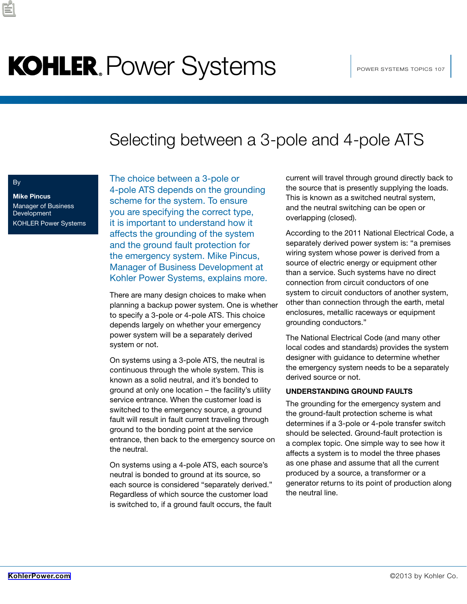# KOHLER, Power Systems **Notifical Prower systems topics 107**

### Selecting between a 3-pole and 4-pole ATS

### By

**Mike Pincus** Manager of Business **Development** KOHLER Power Systems

The choice between a 3-pole or 4-pole ATS depends on the grounding scheme for the system. To ensure you are specifying the correct type, it is important to understand how it affects the grounding of the system and the ground fault protection for the emergency system. Mike Pincus, Manager of Business Development at Kohler Power Systems, explains more.

There are many design choices to make when planning a backup power system. One is whether to specify a 3-pole or 4-pole ATS. This choice depends largely on whether your emergency power system will be a separately derived system or not.

On systems using a 3-pole ATS, the neutral is continuous through the whole system. This is known as a solid neutral, and it's bonded to ground at only one location – the facility's utility service entrance. When the customer load is switched to the emergency source, a ground fault will result in fault current traveling through ground to the bonding point at the service entrance, then back to the emergency source on the neutral.

On systems using a 4-pole ATS, each source's neutral is bonded to ground at its source, so each source is considered "separately derived." Regardless of which source the customer load is switched to, if a ground fault occurs, the fault current will travel through ground directly back to the source that is presently supplying the loads. This is known as a switched neutral system, and the neutral switching can be open or overlapping (closed).

According to the 2011 National Electrical Code, a separately derived power system is: "a premises wiring system whose power is derived from a source of electric energy or equipment other than a service. Such systems have no direct connection from circuit conductors of one system to circuit conductors of another system, other than connection through the earth, metal enclosures, metallic raceways or equipment grounding conductors."

The National Electrical Code (and many other local codes and standards) provides the system designer with guidance to determine whether the emergency system needs to be a separately derived source or not.

#### **UNDERSTANDING GROUND FAULTS**

The grounding for the emergency system and the ground-fault protection scheme is what determines if a 3-pole or 4-pole transfer switch should be selected. Ground-fault protection is a complex topic. One simple way to see how it affects a system is to model the three phases as one phase and assume that all the current produced by a source, a transformer or a generator returns to its point of production along the neutral line.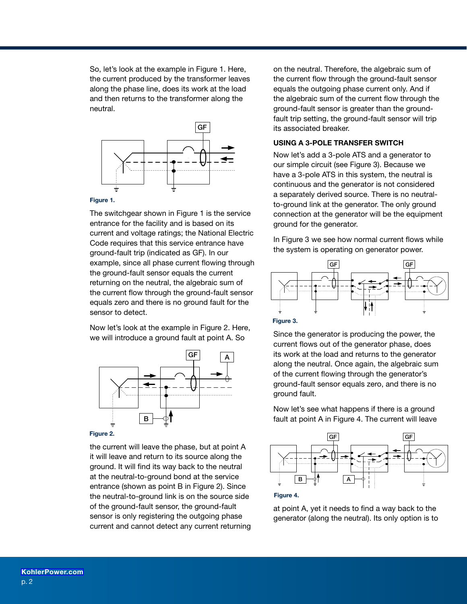So, let's look at the example in Figure 1. Here, the current produced by the transformer leaves along the phase line, does its work at the load and then returns to the transformer along the neutral.



#### **Figure 1.**

The switchgear shown in Figure 1 is the service entrance for the facility and is based on its current and voltage ratings; the National Electric Code requires that this service entrance have ground-fault trip (indicated as GF). In our example, since all phase current flowing through the ground-fault sensor equals the current returning on the neutral, the algebraic sum of the current flow through the ground-fault sensor equals zero and there is no ground fault for the sensor to detect.

Now let's look at the example in Figure 2. Here, we will introduce a ground fault at point A. So



the current will leave the phase, but at point A it will leave and return to its source along the ground. It will find its way back to the neutral at the neutral-to-ground bond at the service entrance (shown as point B in Figure 2). Since the neutral-to-ground link is on the source side of the ground-fault sensor, the ground-fault sensor is only registering the outgoing phase current and cannot detect any current returning

on the neutral. Therefore, the algebraic sum of the current flow through the ground-fault sensor equals the outgoing phase current only. And if the algebraic sum of the current flow through the ground-fault sensor is greater than the groundfault trip setting, the ground-fault sensor will trip its associated breaker.

### **USING A 3-POLE TRANSFER SWITCH**

Now let's add a 3-pole ATS and a generator to our simple circuit (see Figure 3). Because we have a 3-pole ATS in this system, the neutral is continuous and the generator is not considered a separately derived source. There is no neutralto-ground link at the generator. The only ground connection at the generator will be the equipment ground for the generator.

In Figure 3 we see how normal current flows while the system is operating on generator power.





Since the generator is producing the power, the current flows out of the generator phase, does its work at the load and returns to the generator along the neutral. Once again, the algebraic sum of the current flowing through the generator's ground-fault sensor equals zero, and there is no ground fault.

Now let's see what happens if there is a ground fault at point A in Figure 4. The current will leave





at point A, yet it needs to find a way back to the generator (along the neutral). Its only option is to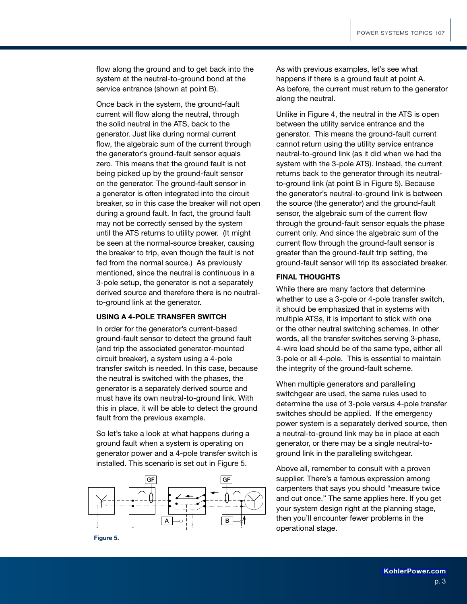flow along the ground and to get back into the system at the neutral-to-ground bond at the service entrance (shown at point B).

Once back in the system, the ground-fault current will flow along the neutral, through the solid neutral in the ATS, back to the generator. Just like during normal current flow, the algebraic sum of the current through the generator's ground-fault sensor equals zero. This means that the ground fault is not being picked up by the ground-fault sensor on the generator. The ground-fault sensor in a generator is often integrated into the circuit breaker, so in this case the breaker will not open during a ground fault. In fact, the ground fault may not be correctly sensed by the system until the ATS returns to utility power. (It might be seen at the normal-source breaker, causing the breaker to trip, even though the fault is not fed from the normal source.) As previously mentioned, since the neutral is continuous in a 3-pole setup, the generator is not a separately derived source and therefore there is no neutralto-ground link at the generator.

#### **USING A 4-POLE TRANSFER SWITCH**

In order for the generator's current-based ground-fault sensor to detect the ground fault (and trip the associated generator-mounted circuit breaker), a system using a 4-pole transfer switch is needed. In this case, because the neutral is switched with the phases, the generator is a separately derived source and must have its own neutral-to-ground link. With this in place, it will be able to detect the ground fault from the previous example.

So let's take a look at what happens during a ground fault when a system is operating on generator power and a 4-pole transfer switch is installed. This scenario is set out in Figure 5.



As with previous examples, let's see what happens if there is a ground fault at point A. As before, the current must return to the generator along the neutral.

Unlike in Figure 4, the neutral in the ATS is open between the utility service entrance and the generator. This means the ground-fault current cannot return using the utility service entrance neutral-to-ground link (as it did when we had the system with the 3-pole ATS). Instead, the current returns back to the generator through its neutralto-ground link (at point B in Figure 5). Because the generator's neutral-to-ground link is between the source (the generator) and the ground-fault sensor, the algebraic sum of the current flow through the ground-fault sensor equals the phase current only. And since the algebraic sum of the current flow through the ground-fault sensor is greater than the ground-fault trip setting, the ground-fault sensor will trip its associated breaker.

#### **FINAL THOUGHTS**

While there are many factors that determine whether to use a 3-pole or 4-pole transfer switch, it should be emphasized that in systems with multiple ATSs, it is important to stick with one or the other neutral switching schemes. In other words, all the transfer switches serving 3-phase, 4-wire load should be of the same type, either all 3-pole or all 4-pole. This is essential to maintain the integrity of the ground-fault scheme.

When multiple generators and paralleling switchgear are used, the same rules used to determine the use of 3-pole versus 4-pole transfer switches should be applied. If the emergency power system is a separately derived source, then a neutral-to-ground link may be in place at each generator, or there may be a single neutral-toground link in the paralleling switchgear.

Above all, remember to consult with a proven supplier. There's a famous expression among carpenters that says you should "measure twice and cut once." The same applies here. If you get your system design right at the planning stage, then you'll encounter fewer problems in the operational stage.